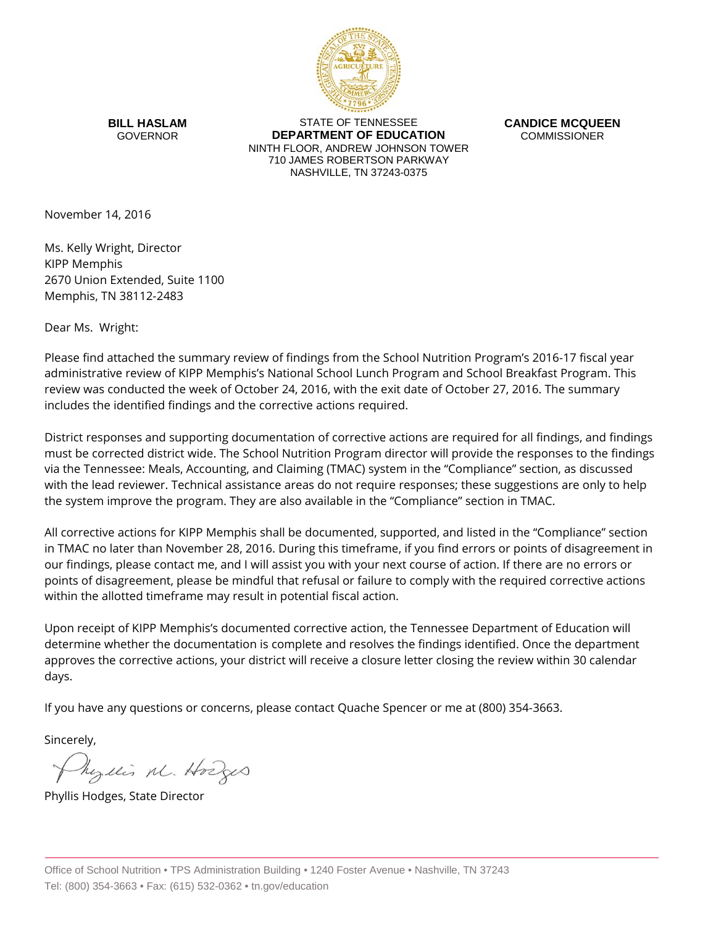

**BILL HASLAM** GOVERNOR

STATE OF TENNESSEE **DEPARTMENT OF EDUCATION** NINTH FLOOR, ANDREW JOHNSON TOWER 710 JAMES ROBERTSON PARKWAY NASHVILLE, TN 37243-0375

**CANDICE MCQUEEN** COMMISSIONER

November 14, 2016

Ms. Kelly Wright, Director KIPP Memphis 2670 Union Extended, Suite 1100 Memphis, TN 38112-2483

Dear Ms. Wright:

Please find attached the summary review of findings from the School Nutrition Program's 2016-17 fiscal year administrative review of KIPP Memphis's National School Lunch Program and School Breakfast Program. This review was conducted the week of October 24, 2016, with the exit date of October 27, 2016. The summary includes the identified findings and the corrective actions required.

District responses and supporting documentation of corrective actions are required for all findings, and findings must be corrected district wide. The School Nutrition Program director will provide the responses to the findings via the Tennessee: Meals, Accounting, and Claiming (TMAC) system in the "Compliance" section, as discussed with the lead reviewer. Technical assistance areas do not require responses; these suggestions are only to help the system improve the program. They are also available in the "Compliance" section in TMAC.

All corrective actions for KIPP Memphis shall be documented, supported, and listed in the "Compliance" section in TMAC no later than November 28, 2016. During this timeframe, if you find errors or points of disagreement in our findings, please contact me, and I will assist you with your next course of action. If there are no errors or points of disagreement, please be mindful that refusal or failure to comply with the required corrective actions within the allotted timeframe may result in potential fiscal action.

Upon receipt of KIPP Memphis's documented corrective action, the Tennessee Department of Education will determine whether the documentation is complete and resolves the findings identified. Once the department approves the corrective actions, your district will receive a closure letter closing the review within 30 calendar days.

If you have any questions or concerns, please contact Quache Spencer or me at (800) 354-3663.

Sincerely,

Myllis M. Hodges

Phyllis Hodges, State Director